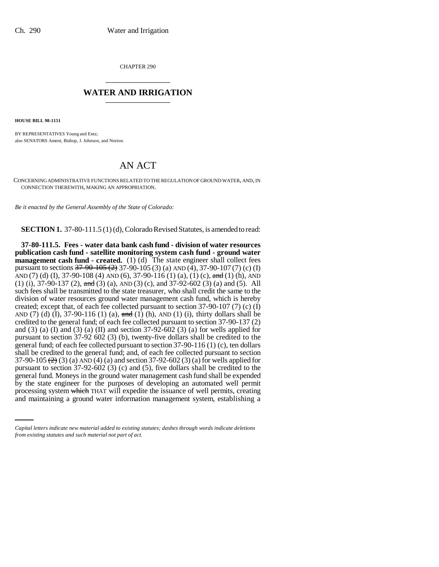CHAPTER 290 \_\_\_\_\_\_\_\_\_\_\_\_\_\_\_

# **WATER AND IRRIGATION** \_\_\_\_\_\_\_\_\_\_\_\_\_\_\_

**HOUSE BILL 98-1151**

BY REPRESENTATIVES Young and Entz; also SENATORS Ament, Bishop, J. Johnson, and Norton.

# AN ACT

CONCERNING ADMINISTRATIVE FUNCTIONS RELATED TO THE REGULATION OF GROUND WATER, AND, IN CONNECTION THEREWITH, MAKING AN APPROPRIATION.

*Be it enacted by the General Assembly of the State of Colorado:*

**SECTION 1.** 37-80-111.5 (1) (d), Colorado Revised Statutes, is amended to read:

by the state engineer for the purposes of developing an automated well permit **37-80-111.5. Fees - water data bank cash fund - division of water resources publication cash fund - satellite monitoring system cash fund - ground water management cash fund - created.** (1) (d) The state engineer shall collect fees pursuant to sections  $37-90-105 (2)$  37-90-105 (3) (a) AND (4), 37-90-107 (7) (c) (I) AND (7) (d) (I), 37-90-108 (4) AND (6), 37-90-116 (1) (a), (1) (c), and (1) (h), AND (1) (i), 37-90-137 (2), and (3) (a), AND (3) (c), and 37-92-602 (3) (a) and (5). All such fees shall be transmitted to the state treasurer, who shall credit the same to the division of water resources ground water management cash fund, which is hereby created; except that, of each fee collected pursuant to section  $37-90-107$  (7) (c) (I) AND (7) (d)  $(I)$ , 37-90-116 (1) (a), and (1) (h), AND (1) (i), thirty dollars shall be credited to the general fund; of each fee collected pursuant to section 37-90-137 (2) and (3) (a) (I) and (3) (a) (II) and section  $37-92-602$  (3) (a) for wells applied for pursuant to section 37-92 602 (3) (b), twenty-five dollars shall be credited to the general fund; of each fee collected pursuant to section 37-90-116 (1) (c), ten dollars shall be credited to the general fund; and, of each fee collected pursuant to section 37-90-105  $(2)$  (3) (a) AND (4) (a) and section 37-92-602 (3) (a) for wells applied for pursuant to section 37-92-602 (3) (c) and (5), five dollars shall be credited to the general fund. Moneys in the ground water management cash fund shall be expended processing system which THAT will expedite the issuance of well permits, creating and maintaining a ground water information management system, establishing a

*Capital letters indicate new material added to existing statutes; dashes through words indicate deletions from existing statutes and such material not part of act.*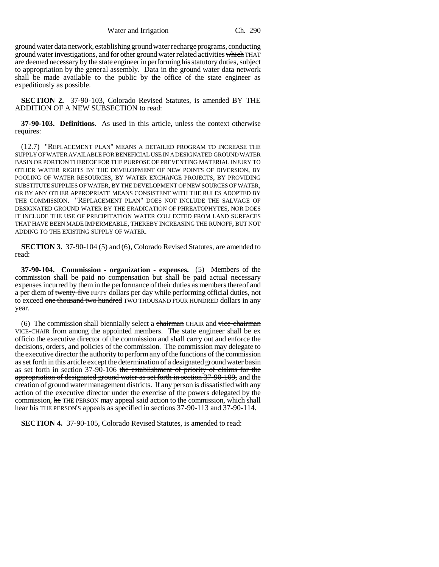ground water data network, establishing ground water recharge programs, conducting ground water investigations, and for other ground water related activities which THAT are deemed necessary by the state engineer in performing his statutory duties, subject to appropriation by the general assembly. Data in the ground water data network shall be made available to the public by the office of the state engineer as expeditiously as possible.

**SECTION 2.** 37-90-103, Colorado Revised Statutes, is amended BY THE ADDITION OF A NEW SUBSECTION to read:

**37-90-103. Definitions.** As used in this article, unless the context otherwise requires:

(12.7) "REPLACEMENT PLAN" MEANS A DETAILED PROGRAM TO INCREASE THE SUPPLY OF WATER AVAILABLE FOR BENEFICIAL USE IN A DESIGNATED GROUND WATER BASIN OR PORTION THEREOF FOR THE PURPOSE OF PREVENTING MATERIAL INJURY TO OTHER WATER RIGHTS BY THE DEVELOPMENT OF NEW POINTS OF DIVERSION, BY POOLING OF WATER RESOURCES, BY WATER EXCHANGE PROJECTS, BY PROVIDING SUBSTITUTE SUPPLIES OF WATER, BY THE DEVELOPMENT OF NEW SOURCES OF WATER, OR BY ANY OTHER APPROPRIATE MEANS CONSISTENT WITH THE RULES ADOPTED BY THE COMMISSION. "REPLACEMENT PLAN" DOES NOT INCLUDE THE SALVAGE OF DESIGNATED GROUND WATER BY THE ERADICATION OF PHREATOPHYTES, NOR DOES IT INCLUDE THE USE OF PRECIPITATION WATER COLLECTED FROM LAND SURFACES THAT HAVE BEEN MADE IMPERMEABLE, THEREBY INCREASING THE RUNOFF, BUT NOT ADDING TO THE EXISTING SUPPLY OF WATER.

**SECTION 3.** 37-90-104 (5) and (6), Colorado Revised Statutes, are amended to read:

**37-90-104. Commission - organization - expenses.** (5) Members of the commission shall be paid no compensation but shall be paid actual necessary expenses incurred by them in the performance of their duties as members thereof and a per diem of twenty-five FIFTY dollars per day while performing official duties, not to exceed one thousand two hundred TWO THOUSAND FOUR HUNDRED dollars in any year.

(6) The commission shall biennially select a chairman CHAIR and vice-chairman VICE-CHAIR from among the appointed members. The state engineer shall be ex officio the executive director of the commission and shall carry out and enforce the decisions, orders, and policies of the commission. The commission may delegate to the executive director the authority to perform any of the functions of the commission as set forth in this article except the determination of a designated ground water basin as set forth in section 37-90-106 the establishment of priority of claims for the appropriation of designated ground water as set forth in section 37-90-109, and the creation of ground water management districts. If any person is dissatisfied with any action of the executive director under the exercise of the powers delegated by the commission, he THE PERSON may appeal said action to the commission, which shall hear his THE PERSON's appeals as specified in sections 37-90-113 and 37-90-114.

**SECTION 4.** 37-90-105, Colorado Revised Statutes, is amended to read: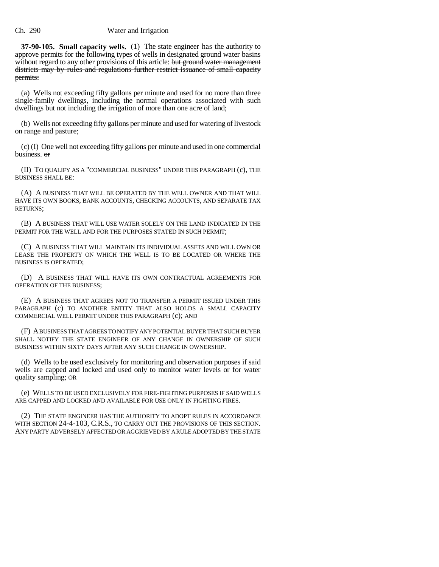**37-90-105. Small capacity wells.** (1) The state engineer has the authority to approve permits for the following types of wells in designated ground water basins without regard to any other provisions of this article: but ground water management districts may by rules and regulations further restrict issuance of small capacity permits:

(a) Wells not exceeding fifty gallons per minute and used for no more than three single-family dwellings, including the normal operations associated with such dwellings but not including the irrigation of more than one acre of land;

(b) Wells not exceeding fifty gallons per minute and used for watering of livestock on range and pasture;

(c) (I) One well not exceeding fifty gallons per minute and used in one commercial business. or

(II) TO QUALIFY AS A "COMMERCIAL BUSINESS" UNDER THIS PARAGRAPH (c), THE BUSINESS SHALL BE:

(A) A BUSINESS THAT WILL BE OPERATED BY THE WELL OWNER AND THAT WILL HAVE ITS OWN BOOKS, BANK ACCOUNTS, CHECKING ACCOUNTS, AND SEPARATE TAX RETURNS;

(B) A BUSINESS THAT WILL USE WATER SOLELY ON THE LAND INDICATED IN THE PERMIT FOR THE WELL AND FOR THE PURPOSES STATED IN SUCH PERMIT;

(C) A BUSINESS THAT WILL MAINTAIN ITS INDIVIDUAL ASSETS AND WILL OWN OR LEASE THE PROPERTY ON WHICH THE WELL IS TO BE LOCATED OR WHERE THE BUSINESS IS OPERATED;

(D) A BUSINESS THAT WILL HAVE ITS OWN CONTRACTUAL AGREEMENTS FOR OPERATION OF THE BUSINESS;

(E) A BUSINESS THAT AGREES NOT TO TRANSFER A PERMIT ISSUED UNDER THIS PARAGRAPH (c) TO ANOTHER ENTITY THAT ALSO HOLDS A SMALL CAPACITY COMMERCIAL WELL PERMIT UNDER THIS PARAGRAPH (c); AND

(F) A BUSINESS THAT AGREES TO NOTIFY ANY POTENTIAL BUYER THAT SUCH BUYER SHALL NOTIFY THE STATE ENGINEER OF ANY CHANGE IN OWNERSHIP OF SUCH BUSINESS WITHIN SIXTY DAYS AFTER ANY SUCH CHANGE IN OWNERSHIP.

(d) Wells to be used exclusively for monitoring and observation purposes if said wells are capped and locked and used only to monitor water levels or for water quality sampling; OR

(e) WELLS TO BE USED EXCLUSIVELY FOR FIRE-FIGHTING PURPOSES IF SAID WELLS ARE CAPPED AND LOCKED AND AVAILABLE FOR USE ONLY IN FIGHTING FIRES.

(2) THE STATE ENGINEER HAS THE AUTHORITY TO ADOPT RULES IN ACCORDANCE WITH SECTION 24-4-103, C.R.S., TO CARRY OUT THE PROVISIONS OF THIS SECTION. ANY PARTY ADVERSELY AFFECTED OR AGGRIEVED BY A RULE ADOPTED BY THE STATE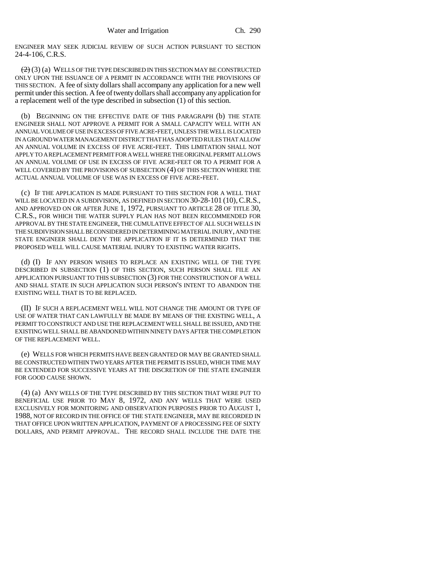ENGINEER MAY SEEK JUDICIAL REVIEW OF SUCH ACTION PURSUANT TO SECTION 24-4-106, C.R.S.

 $(2)$  (3) (a) WELLS OF THE TYPE DESCRIBED IN THIS SECTION MAY BE CONSTRUCTED ONLY UPON THE ISSUANCE OF A PERMIT IN ACCORDANCE WITH THE PROVISIONS OF THIS SECTION. A fee of sixty dollars shall accompany any application for a new well permit under this section. A fee of twenty dollars shall accompany any application for a replacement well of the type described in subsection (1) of this section.

(b) BEGINNING ON THE EFFECTIVE DATE OF THIS PARAGRAPH (b) THE STATE ENGINEER SHALL NOT APPROVE A PERMIT FOR A SMALL CAPACITY WELL WITH AN ANNUAL VOLUME OF USE IN EXCESS OF FIVE ACRE-FEET, UNLESS THE WELL IS LOCATED IN A GROUND WATER MANAGEMENT DISTRICT THAT HAS ADOPTED RULES THAT ALLOW AN ANNUAL VOLUME IN EXCESS OF FIVE ACRE-FEET. THIS LIMITATION SHALL NOT APPLY TO A REPLACEMENT PERMIT FOR A WELL WHERE THE ORIGINAL PERMIT ALLOWS AN ANNUAL VOLUME OF USE IN EXCESS OF FIVE ACRE-FEET OR TO A PERMIT FOR A WELL COVERED BY THE PROVISIONS OF SUBSECTION (4) OF THIS SECTION WHERE THE ACTUAL ANNUAL VOLUME OF USE WAS IN EXCESS OF FIVE ACRE-FEET.

(c) IF THE APPLICATION IS MADE PURSUANT TO THIS SECTION FOR A WELL THAT WILL BE LOCATED IN A SUBDIVISION, AS DEFINED IN SECTION 30-28-101 (10), C.R.S., AND APPROVED ON OR AFTER JUNE 1, 1972, PURSUANT TO ARTICLE 28 OF TITLE 30, C.R.S., FOR WHICH THE WATER SUPPLY PLAN HAS NOT BEEN RECOMMENDED FOR APPROVAL BY THE STATE ENGINEER, THE CUMULATIVE EFFECT OF ALL SUCH WELLS IN THE SUBDIVISION SHALL BE CONSIDERED IN DETERMINING MATERIAL INJURY, AND THE STATE ENGINEER SHALL DENY THE APPLICATION IF IT IS DETERMINED THAT THE PROPOSED WELL WILL CAUSE MATERIAL INJURY TO EXISTING WATER RIGHTS.

(d) (I) IF ANY PERSON WISHES TO REPLACE AN EXISTING WELL OF THE TYPE DESCRIBED IN SUBSECTION (1) OF THIS SECTION, SUCH PERSON SHALL FILE AN APPLICATION PURSUANT TO THIS SUBSECTION (3) FOR THE CONSTRUCTION OF A WELL AND SHALL STATE IN SUCH APPLICATION SUCH PERSON'S INTENT TO ABANDON THE EXISTING WELL THAT IS TO BE REPLACED.

(II) IF SUCH A REPLACEMENT WELL WILL NOT CHANGE THE AMOUNT OR TYPE OF USE OF WATER THAT CAN LAWFULLY BE MADE BY MEANS OF THE EXISTING WELL, A PERMIT TO CONSTRUCT AND USE THE REPLACEMENT WELL SHALL BE ISSUED, AND THE EXISTING WELL SHALL BE ABANDONED WITHIN NINETY DAYS AFTER THE COMPLETION OF THE REPLACEMENT WELL.

(e) WELLS FOR WHICH PERMITS HAVE BEEN GRANTED OR MAY BE GRANTED SHALL BE CONSTRUCTED WITHIN TWO YEARS AFTER THE PERMIT IS ISSUED, WHICH TIME MAY BE EXTENDED FOR SUCCESSIVE YEARS AT THE DISCRETION OF THE STATE ENGINEER FOR GOOD CAUSE SHOWN.

(4) (a) ANY WELLS OF THE TYPE DESCRIBED BY THIS SECTION THAT WERE PUT TO BENEFICIAL USE PRIOR TO MAY 8, 1972, AND ANY WELLS THAT WERE USED EXCLUSIVELY FOR MONITORING AND OBSERVATION PURPOSES PRIOR TO AUGUST 1, 1988, NOT OF RECORD IN THE OFFICE OF THE STATE ENGINEER, MAY BE RECORDED IN THAT OFFICE UPON WRITTEN APPLICATION, PAYMENT OF A PROCESSING FEE OF SIXTY DOLLARS, AND PERMIT APPROVAL. THE RECORD SHALL INCLUDE THE DATE THE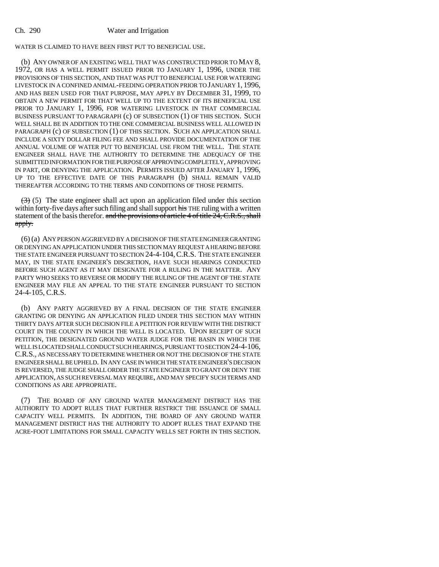# WATER IS CLAIMED TO HAVE BEEN FIRST PUT TO BENEFICIAL USE.

(b) ANY OWNER OF AN EXISTING WELL THAT WAS CONSTRUCTED PRIOR TO MAY 8, 1972, OR HAS A WELL PERMIT ISSUED PRIOR TO JANUARY 1, 1996, UNDER THE PROVISIONS OF THIS SECTION, AND THAT WAS PUT TO BENEFICIAL USE FOR WATERING LIVESTOCK IN A CONFINED ANIMAL-FEEDING OPERATION PRIOR TO JANUARY 1, 1996, AND HAS BEEN USED FOR THAT PURPOSE, MAY APPLY BY DECEMBER 31, 1999, TO OBTAIN A NEW PERMIT FOR THAT WELL UP TO THE EXTENT OF ITS BENEFICIAL USE PRIOR TO JANUARY 1, 1996, FOR WATERING LIVESTOCK IN THAT COMMERCIAL BUSINESS PURSUANT TO PARAGRAPH (c) OF SUBSECTION (1) OF THIS SECTION. SUCH WELL SHALL BE IN ADDITION TO THE ONE COMMERCIAL BUSINESS WELL ALLOWED IN PARAGRAPH (c) OF SUBSECTION (1) OF THIS SECTION. SUCH AN APPLICATION SHALL INCLUDE A SIXTY DOLLAR FILING FEE AND SHALL PROVIDE DOCUMENTATION OF THE ANNUAL VOLUME OF WATER PUT TO BENEFICIAL USE FROM THE WELL. THE STATE ENGINEER SHALL HAVE THE AUTHORITY TO DETERMINE THE ADEQUACY OF THE SUBMITTED INFORMATION FOR THE PURPOSE OF APPROVING COMPLETELY, APPROVING IN PART, OR DENYING THE APPLICATION. PERMITS ISSUED AFTER JANUARY 1, 1996, UP TO THE EFFECTIVE DATE OF THIS PARAGRAPH (b) SHALL REMAIN VALID THEREAFTER ACCORDING TO THE TERMS AND CONDITIONS OF THOSE PERMITS.

 $(3)$  (5) The state engineer shall act upon an application filed under this section within forty-five days after such filing and shall support his THE ruling with a written statement of the basis therefor. and the provisions of article 4 of title 24, C.R.S., shall apply.

(6) (a) ANY PERSON AGGRIEVED BY A DECISION OF THE STATE ENGINEER GRANTING OR DENYING AN APPLICATION UNDER THIS SECTION MAY REQUEST A HEARING BEFORE THE STATE ENGINEER PURSUANT TO SECTION 24-4-104,C.R.S. THE STATE ENGINEER MAY, IN THE STATE ENGINEER'S DISCRETION, HAVE SUCH HEARINGS CONDUCTED BEFORE SUCH AGENT AS IT MAY DESIGNATE FOR A RULING IN THE MATTER. ANY PARTY WHO SEEKS TO REVERSE OR MODIFY THE RULING OF THE AGENT OF THE STATE ENGINEER MAY FILE AN APPEAL TO THE STATE ENGINEER PURSUANT TO SECTION 24-4-105, C.R.S.

(b) ANY PARTY AGGRIEVED BY A FINAL DECISION OF THE STATE ENGINEER GRANTING OR DENYING AN APPLICATION FILED UNDER THIS SECTION MAY WITHIN THIRTY DAYS AFTER SUCH DECISION FILE A PETITION FOR REVIEW WITH THE DISTRICT COURT IN THE COUNTY IN WHICH THE WELL IS LOCATED. UPON RECEIPT OF SUCH PETITION, THE DESIGNATED GROUND WATER JUDGE FOR THE BASIN IN WHICH THE WELL IS LOCATED SHALL CONDUCT SUCH HEARINGS, PURSUANT TO SECTION 24-4-106, C.R.S., AS NECESSARY TO DETERMINE WHETHER OR NOT THE DECISION OF THE STATE ENGINEER SHALL BE UPHELD. IN ANY CASE IN WHICH THE STATE ENGINEER'S DECISION IS REVERSED, THE JUDGE SHALL ORDER THE STATE ENGINEER TO GRANT OR DENY THE APPLICATION, AS SUCH REVERSAL MAY REQUIRE, AND MAY SPECIFY SUCH TERMS AND CONDITIONS AS ARE APPROPRIATE.

(7) THE BOARD OF ANY GROUND WATER MANAGEMENT DISTRICT HAS THE AUTHORITY TO ADOPT RULES THAT FURTHER RESTRICT THE ISSUANCE OF SMALL CAPACITY WELL PERMITS. IN ADDITION, THE BOARD OF ANY GROUND WATER MANAGEMENT DISTRICT HAS THE AUTHORITY TO ADOPT RULES THAT EXPAND THE ACRE-FOOT LIMITATIONS FOR SMALL CAPACITY WELLS SET FORTH IN THIS SECTION.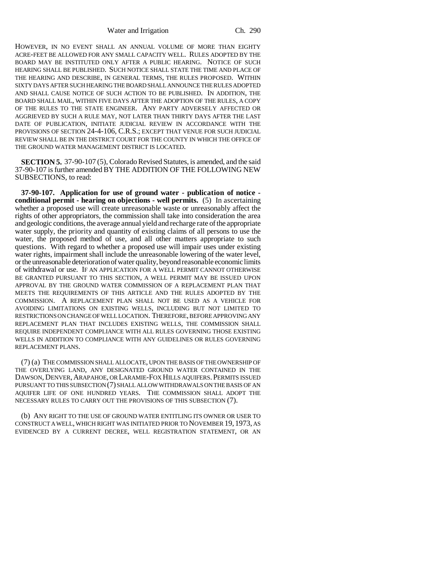HOWEVER, IN NO EVENT SHALL AN ANNUAL VOLUME OF MORE THAN EIGHTY ACRE-FEET BE ALLOWED FOR ANY SMALL CAPACITY WELL. RULES ADOPTED BY THE BOARD MAY BE INSTITUTED ONLY AFTER A PUBLIC HEARING. NOTICE OF SUCH HEARING SHALL BE PUBLISHED. SUCH NOTICE SHALL STATE THE TIME AND PLACE OF THE HEARING AND DESCRIBE, IN GENERAL TERMS, THE RULES PROPOSED. WITHIN SIXTY DAYS AFTER SUCH HEARING THE BOARD SHALL ANNOUNCE THE RULES ADOPTED AND SHALL CAUSE NOTICE OF SUCH ACTION TO BE PUBLISHED. IN ADDITION, THE BOARD SHALL MAIL, WITHIN FIVE DAYS AFTER THE ADOPTION OF THE RULES, A COPY OF THE RULES TO THE STATE ENGINEER. ANY PARTY ADVERSELY AFFECTED OR AGGRIEVED BY SUCH A RULE MAY, NOT LATER THAN THIRTY DAYS AFTER THE LAST DATE OF PUBLICATION, INITIATE JUDICIAL REVIEW IN ACCORDANCE WITH THE PROVISIONS OF SECTION 24-4-106, C.R.S.; EXCEPT THAT VENUE FOR SUCH JUDICIAL REVIEW SHALL BE IN THE DISTRICT COURT FOR THE COUNTY IN WHICH THE OFFICE OF THE GROUND WATER MANAGEMENT DISTRICT IS LOCATED.

**SECTION 5.** 37-90-107 (5), Colorado Revised Statutes, is amended, and the said 37-90-107 is further amended BY THE ADDITION OF THE FOLLOWING NEW SUBSECTIONS, to read:

**37-90-107. Application for use of ground water - publication of notice conditional permit - hearing on objections - well permits.** (5) In ascertaining whether a proposed use will create unreasonable waste or unreasonably affect the rights of other appropriators, the commission shall take into consideration the area and geologic conditions, the average annual yield and recharge rate of the appropriate water supply, the priority and quantity of existing claims of all persons to use the water, the proposed method of use, and all other matters appropriate to such questions. With regard to whether a proposed use will impair uses under existing water rights, impairment shall include the unreasonable lowering of the water level, or the unreasonable deterioration of water quality, beyond reasonable economic limits of withdrawal or use. IF AN APPLICATION FOR A WELL PERMIT CANNOT OTHERWISE BE GRANTED PURSUANT TO THIS SECTION, A WELL PERMIT MAY BE ISSUED UPON APPROVAL BY THE GROUND WATER COMMISSION OF A REPLACEMENT PLAN THAT MEETS THE REQUIREMENTS OF THIS ARTICLE AND THE RULES ADOPTED BY THE COMMISSION. A REPLACEMENT PLAN SHALL NOT BE USED AS A VEHICLE FOR AVOIDING LIMITATIONS ON EXISTING WELLS, INCLUDING BUT NOT LIMITED TO RESTRICTIONS ON CHANGE OF WELL LOCATION. THEREFORE, BEFORE APPROVING ANY REPLACEMENT PLAN THAT INCLUDES EXISTING WELLS, THE COMMISSION SHALL REQUIRE INDEPENDENT COMPLIANCE WITH ALL RULES GOVERNING THOSE EXISTING WELLS IN ADDITION TO COMPLIANCE WITH ANY GUIDELINES OR RULES GOVERNING REPLACEMENT PLANS.

(7) (a) THE COMMISSION SHALL ALLOCATE, UPON THE BASIS OF THE OWNERSHIP OF THE OVERLYING LAND, ANY DESIGNATED GROUND WATER CONTAINED IN THE DAWSON, DENVER, ARAPAHOE, OR LARAMIE-FOX HILLS AQUIFERS. PERMITS ISSUED PURSUANT TO THIS SUBSECTION (7) SHALL ALLOW WITHDRAWALS ON THE BASIS OF AN AQUIFER LIFE OF ONE HUNDRED YEARS. THE COMMISSION SHALL ADOPT THE NECESSARY RULES TO CARRY OUT THE PROVISIONS OF THIS SUBSECTION (7).

(b) ANY RIGHT TO THE USE OF GROUND WATER ENTITLING ITS OWNER OR USER TO CONSTRUCT A WELL, WHICH RIGHT WAS INITIATED PRIOR TO NOVEMBER 19, 1973, AS EVIDENCED BY A CURRENT DECREE, WELL REGISTRATION STATEMENT, OR AN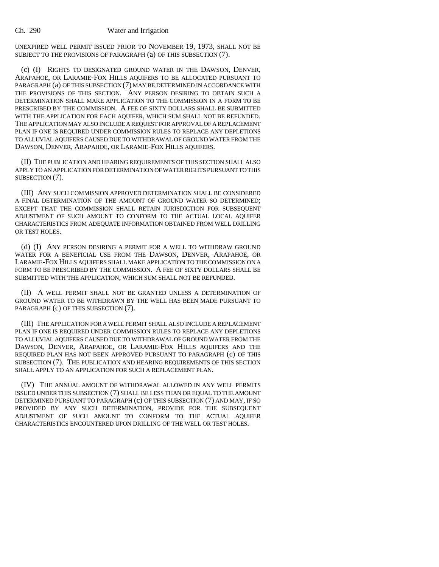UNEXPIRED WELL PERMIT ISSUED PRIOR TO NOVEMBER 19, 1973, SHALL NOT BE SUBJECT TO THE PROVISIONS OF PARAGRAPH (a) OF THIS SUBSECTION (7).

(c) (I) RIGHTS TO DESIGNATED GROUND WATER IN THE DAWSON, DENVER, ARAPAHOE, OR LARAMIE-FOX HILLS AQUIFERS TO BE ALLOCATED PURSUANT TO PARAGRAPH (a) OF THIS SUBSECTION (7) MAY BE DETERMINED IN ACCORDANCE WITH THE PROVISIONS OF THIS SECTION. ANY PERSON DESIRING TO OBTAIN SUCH A DETERMINATION SHALL MAKE APPLICATION TO THE COMMISSION IN A FORM TO BE PRESCRIBED BY THE COMMISSION. A FEE OF SIXTY DOLLARS SHALL BE SUBMITTED WITH THE APPLICATION FOR EACH AQUIFER, WHICH SUM SHALL NOT BE REFUNDED. THE APPLICATION MAY ALSO INCLUDE A REQUEST FOR APPROVAL OF A REPLACEMENT PLAN IF ONE IS REQUIRED UNDER COMMISSION RULES TO REPLACE ANY DEPLETIONS TO ALLUVIAL AQUIFERS CAUSED DUE TO WITHDRAWAL OF GROUND WATER FROM THE DAWSON, DENVER, ARAPAHOE, OR LARAMIE-FOX HILLS AQUIFERS.

(II) THE PUBLICATION AND HEARING REQUIREMENTS OF THIS SECTION SHALL ALSO APPLY TO AN APPLICATION FOR DETERMINATION OF WATER RIGHTS PURSUANT TO THIS SUBSECTION (7).

(III) ANY SUCH COMMISSION APPROVED DETERMINATION SHALL BE CONSIDERED A FINAL DETERMINATION OF THE AMOUNT OF GROUND WATER SO DETERMINED; EXCEPT THAT THE COMMISSION SHALL RETAIN JURISDICTION FOR SUBSEQUENT ADJUSTMENT OF SUCH AMOUNT TO CONFORM TO THE ACTUAL LOCAL AQUIFER CHARACTERISTICS FROM ADEQUATE INFORMATION OBTAINED FROM WELL DRILLING OR TEST HOLES.

(d) (I) ANY PERSON DESIRING A PERMIT FOR A WELL TO WITHDRAW GROUND WATER FOR A BENEFICIAL USE FROM THE DAWSON, DENVER, ARAPAHOE, OR LARAMIE-FOX HILLS AQUIFERS SHALL MAKE APPLICATION TO THE COMMISSION ON A FORM TO BE PRESCRIBED BY THE COMMISSION. A FEE OF SIXTY DOLLARS SHALL BE SUBMITTED WITH THE APPLICATION, WHICH SUM SHALL NOT BE REFUNDED.

(II) A WELL PERMIT SHALL NOT BE GRANTED UNLESS A DETERMINATION OF GROUND WATER TO BE WITHDRAWN BY THE WELL HAS BEEN MADE PURSUANT TO PARAGRAPH (c) OF THIS SUBSECTION (7).

(III) THE APPLICATION FOR A WELL PERMIT SHALL ALSO INCLUDE A REPLACEMENT PLAN IF ONE IS REQUIRED UNDER COMMISSION RULES TO REPLACE ANY DEPLETIONS TO ALLUVIAL AQUIFERS CAUSED DUE TO WITHDRAWAL OF GROUND WATER FROM THE DAWSON, DENVER, ARAPAHOE, OR LARAMIE-FOX HILLS AQUIFERS AND THE REQUIRED PLAN HAS NOT BEEN APPROVED PURSUANT TO PARAGRAPH (c) OF THIS SUBSECTION (7). THE PUBLICATION AND HEARING REQUIREMENTS OF THIS SECTION SHALL APPLY TO AN APPLICATION FOR SUCH A REPLACEMENT PLAN.

(IV) THE ANNUAL AMOUNT OF WITHDRAWAL ALLOWED IN ANY WELL PERMITS ISSUED UNDER THIS SUBSECTION (7) SHALL BE LESS THAN OR EQUAL TO THE AMOUNT DETERMINED PURSUANT TO PARAGRAPH (c) OF THIS SUBSECTION (7) AND MAY, IF SO PROVIDED BY ANY SUCH DETERMINATION, PROVIDE FOR THE SUBSEQUENT ADJUSTMENT OF SUCH AMOUNT TO CONFORM TO THE ACTUAL AQUIFER CHARACTERISTICS ENCOUNTERED UPON DRILLING OF THE WELL OR TEST HOLES.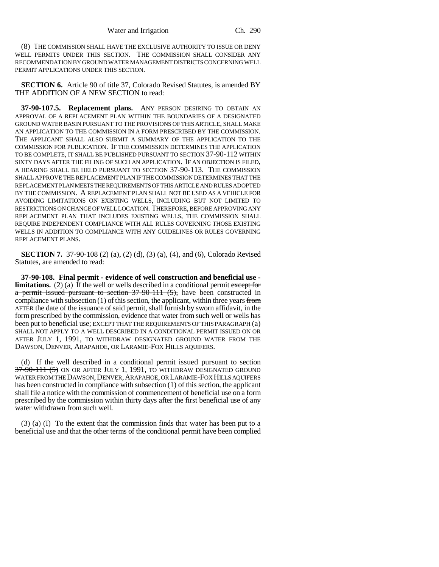(8) THE COMMISSION SHALL HAVE THE EXCLUSIVE AUTHORITY TO ISSUE OR DENY WELL PERMITS UNDER THIS SECTION. THE COMMISSION SHALL CONSIDER ANY RECOMMENDATION BY GROUND WATER MANAGEMENT DISTRICTS CONCERNING WELL PERMIT APPLICATIONS UNDER THIS SECTION.

**SECTION 6.** Article 90 of title 37, Colorado Revised Statutes, is amended BY THE ADDITION OF A NEW SECTION to read:

**37-90-107.5. Replacement plans.** ANY PERSON DESIRING TO OBTAIN AN APPROVAL OF A REPLACEMENT PLAN WITHIN THE BOUNDARIES OF A DESIGNATED GROUND WATER BASIN PURSUANT TO THE PROVISIONS OF THIS ARTICLE, SHALL MAKE AN APPLICATION TO THE COMMISSION IN A FORM PRESCRIBED BY THE COMMISSION. THE APPLICANT SHALL ALSO SUBMIT A SUMMARY OF THE APPLICATION TO THE COMMISSION FOR PUBLICATION. IF THE COMMISSION DETERMINES THE APPLICATION TO BE COMPLETE, IT SHALL BE PUBLISHED PURSUANT TO SECTION 37-90-112 WITHIN SIXTY DAYS AFTER THE FILING OF SUCH AN APPLICATION. IF AN OBJECTION IS FILED, A HEARING SHALL BE HELD PURSUANT TO SECTION 37-90-113. THE COMMISSION SHALL APPROVE THE REPLACEMENT PLAN IF THE COMMISSION DETERMINES THAT THE REPLACEMENT PLAN MEETS THE REQUIREMENTS OF THIS ARTICLE AND RULES ADOPTED BY THE COMMISSION. A REPLACEMENT PLAN SHALL NOT BE USED AS A VEHICLE FOR AVOIDING LIMITATIONS ON EXISTING WELLS, INCLUDING BUT NOT LIMITED TO RESTRICTIONS ON CHANGE OF WELL LOCATION. THEREFORE, BEFORE APPROVING ANY REPLACEMENT PLAN THAT INCLUDES EXISTING WELLS, THE COMMISSION SHALL REQUIRE INDEPENDENT COMPLIANCE WITH ALL RULES GOVERNING THOSE EXISTING WELLS IN ADDITION TO COMPLIANCE WITH ANY GUIDELINES OR RULES GOVERNING REPLACEMENT PLANS.

**SECTION 7.** 37-90-108 (2) (a), (2) (d), (3) (a), (4), and (6), Colorado Revised Statutes, are amended to read:

**37-90-108. Final permit - evidence of well construction and beneficial use limitations.** (2) (a) If the well or wells described in a conditional permit except for a permit issued pursuant to section  $37-90-111$   $(5)$ , have been constructed in compliance with subsection  $(1)$  of this section, the applicant, within three years from AFTER the date of the issuance of said permit, shall furnish by sworn affidavit, in the form prescribed by the commission, evidence that water from such well or wells has been put to beneficial use; EXCEPT THAT THE REQUIREMENTS OF THIS PARAGRAPH (a) SHALL NOT APPLY TO A WELL DESCRIBED IN A CONDITIONAL PERMIT ISSUED ON OR AFTER JULY 1, 1991, TO WITHDRAW DESIGNATED GROUND WATER FROM THE DAWSON, DENVER, ARAPAHOE, OR LARAMIE-FOX HILLS AQUIFERS.

(d) If the well described in a conditional permit issued  $\frac{1}{2}$  pursuant to section  $37-90-111$  (5) ON OR AFTER JULY 1, 1991, TO WITHDRAW DESIGNATED GROUND WATER FROM THE DAWSON,DENVER,ARAPAHOE, OR LARAMIE-FOX HILLS AQUIFERS has been constructed in compliance with subsection (1) of this section, the applicant shall file a notice with the commission of commencement of beneficial use on a form prescribed by the commission within thirty days after the first beneficial use of any water withdrawn from such well.

(3) (a) (I) To the extent that the commission finds that water has been put to a beneficial use and that the other terms of the conditional permit have been complied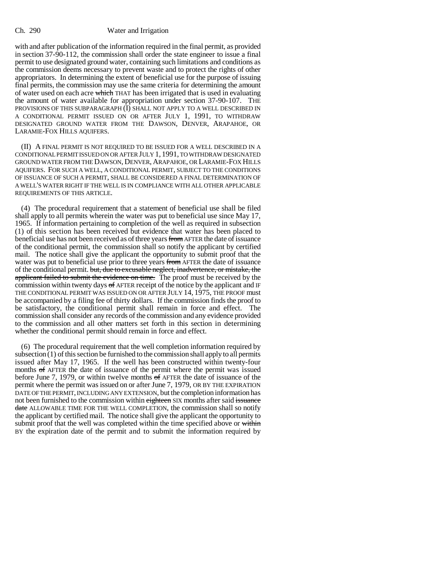with and after publication of the information required in the final permit, as provided in section 37-90-112, the commission shall order the state engineer to issue a final permit to use designated ground water, containing such limitations and conditions as the commission deems necessary to prevent waste and to protect the rights of other appropriators. In determining the extent of beneficial use for the purpose of issuing final permits, the commission may use the same criteria for determining the amount of water used on each acre which THAT has been irrigated that is used in evaluating the amount of water available for appropriation under section 37-90-107. THE PROVISIONS OF THIS SUBPARAGRAPH (I) SHALL NOT APPLY TO A WELL DESCRIBED IN A CONDITIONAL PERMIT ISSUED ON OR AFTER JULY 1, 1991, TO WITHDRAW DESIGNATED GROUND WATER FROM THE DAWSON, DENVER, ARAPAHOE, OR LARAMIE-FOX HILLS AQUIFERS.

(II) A FINAL PERMIT IS NOT REQUIRED TO BE ISSUED FOR A WELL DESCRIBED IN A CONDITIONAL PERMIT ISSUED ON OR AFTER JULY 1, 1991, TO WITHDRAW DESIGNATED GROUND WATER FROM THE DAWSON, DENVER, ARAPAHOE, OR LARAMIE-FOX HILLS AQUIFERS. FOR SUCH A WELL, A CONDITIONAL PERMIT, SUBJECT TO THE CONDITIONS OF ISSUANCE OF SUCH A PERMIT, SHALL BE CONSIDERED A FINAL DETERMINATION OF A WELL'S WATER RIGHT IF THE WELL IS IN COMPLIANCE WITH ALL OTHER APPLICABLE REQUIREMENTS OF THIS ARTICLE.

(4) The procedural requirement that a statement of beneficial use shall be filed shall apply to all permits wherein the water was put to beneficial use since May 17, 1965. If information pertaining to completion of the well as required in subsection (1) of this section has been received but evidence that water has been placed to beneficial use has not been received as of three years from AFTER the date of issuance of the conditional permit, the commission shall so notify the applicant by certified mail. The notice shall give the applicant the opportunity to submit proof that the water was put to beneficial use prior to three years from AFTER the date of issuance of the conditional permit. but, due to excusable neglect, inadvertence, or mistake, the applicant failed to submit the evidence on time. The proof must be received by the commission within twenty days  $\sigma$  AFTER receipt of the notice by the applicant and IF THE CONDITIONAL PERMIT WAS ISSUED ON OR AFTER JULY 14, 1975, THE PROOF must be accompanied by a filing fee of thirty dollars. If the commission finds the proof to be satisfactory, the conditional permit shall remain in force and effect. The commission shall consider any records of the commission and any evidence provided to the commission and all other matters set forth in this section in determining whether the conditional permit should remain in force and effect.

(6) The procedural requirement that the well completion information required by subsection  $(1)$  of this section be furnished to the commission shall apply to all permits issued after May 17, 1965. If the well has been constructed within twenty-four months of AFTER the date of issuance of the permit where the permit was issued before June 7, 1979, or within twelve months of AFTER the date of issuance of the permit where the permit was issued on or after June 7, 1979, OR BY THE EXPIRATION DATE OF THE PERMIT, INCLUDING ANY EXTENSION, but the completion information has not been furnished to the commission within eighteen SIX months after said issuance date ALLOWABLE TIME FOR THE WELL COMPLETION, the commission shall so notify the applicant by certified mail. The notice shall give the applicant the opportunity to submit proof that the well was completed within the time specified above or within BY the expiration date of the permit and to submit the information required by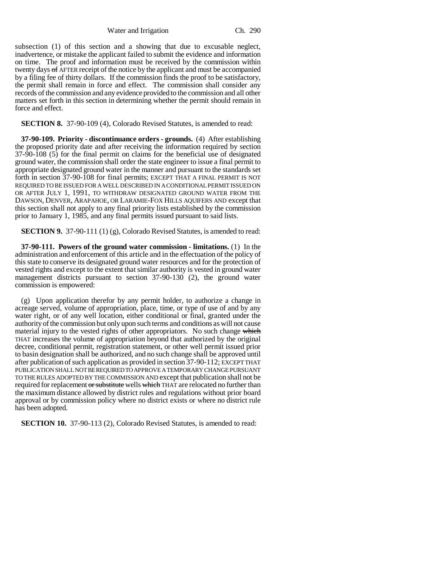subsection (1) of this section and a showing that due to excusable neglect, inadvertence, or mistake the applicant failed to submit the evidence and information on time. The proof and information must be received by the commission within twenty days of AFTER receipt of the notice by the applicant and must be accompanied by a filing fee of thirty dollars. If the commission finds the proof to be satisfactory, the permit shall remain in force and effect. The commission shall consider any records of the commission and any evidence provided to the commission and all other matters set forth in this section in determining whether the permit should remain in force and effect.

**SECTION 8.** 37-90-109 (4), Colorado Revised Statutes, is amended to read:

**37-90-109. Priority - discontinuance orders - grounds.** (4) After establishing the proposed priority date and after receiving the information required by section 37-90-108 (5) for the final permit on claims for the beneficial use of designated ground water, the commission shall order the state engineer to issue a final permit to appropriate designated ground water in the manner and pursuant to the standards set forth in section 37-90-108 for final permits; EXCEPT THAT A FINAL PERMIT IS NOT REQUIRED TO BE ISSUED FOR A WELL DESCRIBED IN A CONDITIONAL PERMIT ISSUED ON OR AFTER JULY 1, 1991, TO WITHDRAW DESIGNATED GROUND WATER FROM THE DAWSON, DENVER, ARAPAHOE, OR LARAMIE-FOX HILLS AQUIFERS AND except that this section shall not apply to any final priority lists established by the commission prior to January 1, 1985, and any final permits issued pursuant to said lists.

**SECTION 9.** 37-90-111 (1) (g), Colorado Revised Statutes, is amended to read:

**37-90-111. Powers of the ground water commission - limitations.** (1) In the administration and enforcement of this article and in the effectuation of the policy of this state to conserve its designated ground water resources and for the protection of vested rights and except to the extent that similar authority is vested in ground water management districts pursuant to section 37-90-130 (2), the ground water commission is empowered:

(g) Upon application therefor by any permit holder, to authorize a change in acreage served, volume of appropriation, place, time, or type of use of and by any water right, or of any well location, either conditional or final, granted under the authority of the commission but only upon such terms and conditions as will not cause material injury to the vested rights of other appropriators. No such change which THAT increases the volume of appropriation beyond that authorized by the original decree, conditional permit, registration statement, or other well permit issued prior to basin designation shall be authorized, and no such change shall be approved until after publication of such application as provided in section 37-90-112; EXCEPT THAT PUBLICATION SHALL NOT BE REQUIRED TO APPROVE A TEMPORARY CHANGE PURSUANT TO THE RULES ADOPTED BY THE COMMISSION AND except that publication shall not be required for replacement or substitute wells which THAT are relocated no further than the maximum distance allowed by district rules and regulations without prior board approval or by commission policy where no district exists or where no district rule has been adopted.

**SECTION 10.** 37-90-113 (2), Colorado Revised Statutes, is amended to read: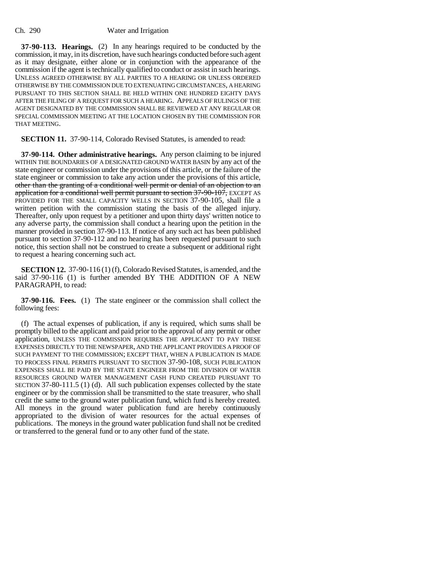**37-90-113. Hearings.** (2) In any hearings required to be conducted by the commission, it may, in its discretion, have such hearings conducted before such agent as it may designate, either alone or in conjunction with the appearance of the commission if the agent is technically qualified to conduct or assist in such hearings. UNLESS AGREED OTHERWISE BY ALL PARTIES TO A HEARING OR UNLESS ORDERED OTHERWISE BY THE COMMISSION DUE TO EXTENUATING CIRCUMSTANCES, A HEARING PURSUANT TO THIS SECTION SHALL BE HELD WITHIN ONE HUNDRED EIGHTY DAYS AFTER THE FILING OF A REQUEST FOR SUCH A HEARING. APPEALS OF RULINGS OF THE AGENT DESIGNATED BY THE COMMISSION SHALL BE REVIEWED AT ANY REGULAR OR SPECIAL COMMISSION MEETING AT THE LOCATION CHOSEN BY THE COMMISSION FOR THAT MEETING.

**SECTION 11.** 37-90-114, Colorado Revised Statutes, is amended to read:

**37-90-114. Other administrative hearings.** Any person claiming to be injured WITHIN THE BOUNDARIES OF A DESIGNATED GROUND WATER BASIN by any act of the state engineer or commission under the provisions of this article, or the failure of the state engineer or commission to take any action under the provisions of this article, other than the granting of a conditional well permit or denial of an objection to an application for a conditional well permit pursuant to section 37-90-107, EXCEPT AS PROVIDED FOR THE SMALL CAPACITY WELLS IN SECTION 37-90-105, shall file a written petition with the commission stating the basis of the alleged injury. Thereafter, only upon request by a petitioner and upon thirty days' written notice to any adverse party, the commission shall conduct a hearing upon the petition in the manner provided in section 37-90-113. If notice of any such act has been published pursuant to section 37-90-112 and no hearing has been requested pursuant to such notice, this section shall not be construed to create a subsequent or additional right to request a hearing concerning such act.

**SECTION 12.** 37-90-116 (1) (f), Colorado Revised Statutes, is amended, and the said 37-90-116 (1) is further amended BY THE ADDITION OF A NEW PARAGRAPH, to read:

**37-90-116. Fees.** (1) The state engineer or the commission shall collect the following fees:

(f) The actual expenses of publication, if any is required, which sums shall be promptly billed to the applicant and paid prior to the approval of any permit or other application, UNLESS THE COMMISSION REQUIRES THE APPLICANT TO PAY THESE EXPENSES DIRECTLY TO THE NEWSPAPER, AND THE APPLICANT PROVIDES A PROOF OF SUCH PAYMENT TO THE COMMISSION; EXCEPT THAT, WHEN A PUBLICATION IS MADE TO PROCESS FINAL PERMITS PURSUANT TO SECTION 37-90-108, SUCH PUBLICATION EXPENSES SHALL BE PAID BY THE STATE ENGINEER FROM THE DIVISION OF WATER RESOURCES GROUND WATER MANAGEMENT CASH FUND CREATED PURSUANT TO SECTION 37-80-111.5 (1) (d). All such publication expenses collected by the state engineer or by the commission shall be transmitted to the state treasurer, who shall credit the same to the ground water publication fund, which fund is hereby created. All moneys in the ground water publication fund are hereby continuously appropriated to the division of water resources for the actual expenses of publications. The moneys in the ground water publication fund shall not be credited or transferred to the general fund or to any other fund of the state.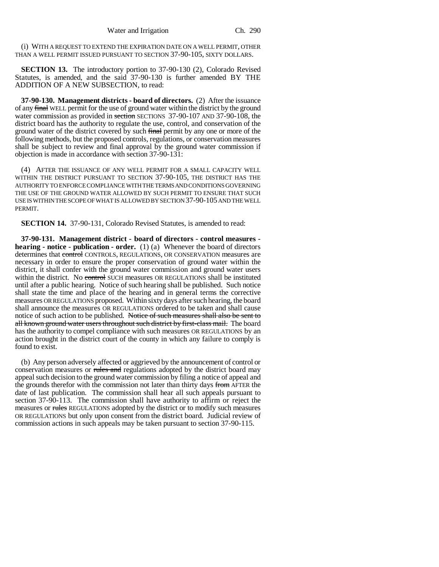(i) WITH A REQUEST TO EXTEND THE EXPIRATION DATE ON A WELL PERMIT, OTHER THAN A WELL PERMIT ISSUED PURSUANT TO SECTION 37-90-105, SIXTY DOLLARS.

**SECTION 13.** The introductory portion to 37-90-130 (2), Colorado Revised Statutes, is amended, and the said 37-90-130 is further amended BY THE ADDITION OF A NEW SUBSECTION, to read:

**37-90-130. Management districts - board of directors.** (2) After the issuance of any final WELL permit for the use of ground water within the district by the ground water commission as provided in section SECTIONS 37-90-107 AND 37-90-108, the district board has the authority to regulate the use, control, and conservation of the ground water of the district covered by such final permit by any one or more of the following methods, but the proposed controls, regulations, or conservation measures shall be subject to review and final approval by the ground water commission if objection is made in accordance with section 37-90-131:

(4) AFTER THE ISSUANCE OF ANY WELL PERMIT FOR A SMALL CAPACITY WELL WITHIN THE DISTRICT PURSUANT TO SECTION 37-90-105, THE DISTRICT HAS THE AUTHORITY TO ENFORCE COMPLIANCE WITH THE TERMS AND CONDITIONS GOVERNING THE USE OF THE GROUND WATER ALLOWED BY SUCH PERMIT TO ENSURE THAT SUCH USE IS WITHIN THE SCOPE OF WHAT IS ALLOWED BY SECTION 37-90-105 AND THE WELL PERMIT.

**SECTION 14.** 37-90-131, Colorado Revised Statutes, is amended to read:

**37-90-131. Management district - board of directors - control measures hearing - notice - publication - order.** (1) (a) Whenever the board of directors determines that control CONTROLS, REGULATIONS, OR CONSERVATION measures are necessary in order to ensure the proper conservation of ground water within the district, it shall confer with the ground water commission and ground water users within the district. No control SUCH measures OR REGULATIONS shall be instituted until after a public hearing. Notice of such hearing shall be published. Such notice shall state the time and place of the hearing and in general terms the corrective measures OR REGULATIONS proposed. Within sixty days after such hearing, the board shall announce the measures OR REGULATIONS ordered to be taken and shall cause notice of such action to be published. Notice of such measures shall also be sent to all known ground water users throughout such district by first-class mail. The board has the authority to compel compliance with such measures OR REGULATIONS by an action brought in the district court of the county in which any failure to comply is found to exist.

(b) Any person adversely affected or aggrieved by the announcement of control or conservation measures or rules and regulations adopted by the district board may appeal such decision to the ground water commission by filing a notice of appeal and the grounds therefor with the commission not later than thirty days from AFTER the date of last publication. The commission shall hear all such appeals pursuant to section 37-90-113. The commission shall have authority to affirm or reject the measures or rules REGULATIONS adopted by the district or to modify such measures OR REGULATIONS but only upon consent from the district board. Judicial review of commission actions in such appeals may be taken pursuant to section 37-90-115.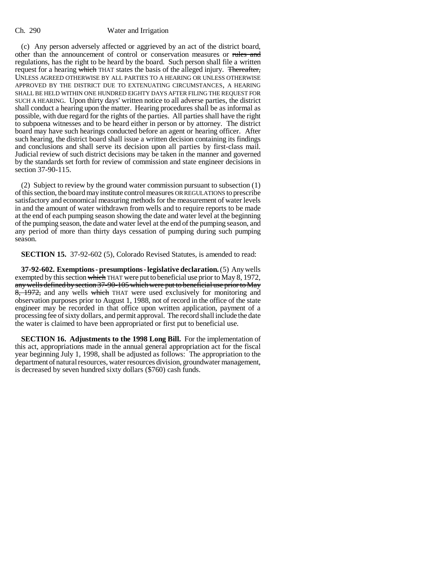(c) Any person adversely affected or aggrieved by an act of the district board, other than the announcement of control or conservation measures or rules and regulations, has the right to be heard by the board. Such person shall file a written request for a hearing which THAT states the basis of the alleged injury. Thereafter, UNLESS AGREED OTHERWISE BY ALL PARTIES TO A HEARING OR UNLESS OTHERWISE APPROVED BY THE DISTRICT DUE TO EXTENUATING CIRCUMSTANCES, A HEARING SHALL BE HELD WITHIN ONE HUNDRED EIGHTY DAYS AFTER FILING THE REQUEST FOR SUCH A HEARING. Upon thirty days' written notice to all adverse parties, the district shall conduct a hearing upon the matter. Hearing procedures shall be as informal as possible, with due regard for the rights of the parties. All parties shall have the right to subpoena witnesses and to be heard either in person or by attorney. The district board may have such hearings conducted before an agent or hearing officer. After such hearing, the district board shall issue a written decision containing its findings and conclusions and shall serve its decision upon all parties by first-class mail. Judicial review of such district decisions may be taken in the manner and governed by the standards set forth for review of commission and state engineer decisions in section 37-90-115.

(2) Subject to review by the ground water commission pursuant to subsection (1) of this section, the board may institute control measures OR REGULATIONS to prescribe satisfactory and economical measuring methods for the measurement of water levels in and the amount of water withdrawn from wells and to require reports to be made at the end of each pumping season showing the date and water level at the beginning of the pumping season, the date and water level at the end of the pumping season, and any period of more than thirty days cessation of pumping during such pumping season.

**SECTION 15.** 37-92-602 (5), Colorado Revised Statutes, is amended to read:

**37-92-602. Exemptions - presumptions - legislative declaration.** (5) Any wells exempted by this section which THAT were put to beneficial use prior to May 8, 1972, any wells defined by section 37-90-105 which were put to beneficial use prior to May 8, 1972, and any wells which THAT were used exclusively for monitoring and observation purposes prior to August 1, 1988, not of record in the office of the state engineer may be recorded in that office upon written application, payment of a processing fee of sixty dollars, and permit approval. The record shall include the date the water is claimed to have been appropriated or first put to beneficial use.

**SECTION 16. Adjustments to the 1998 Long Bill.** For the implementation of this act, appropriations made in the annual general appropriation act for the fiscal year beginning July 1, 1998, shall be adjusted as follows: The appropriation to the department of natural resources, water resources division, groundwater management, is decreased by seven hundred sixty dollars (\$760) cash funds.